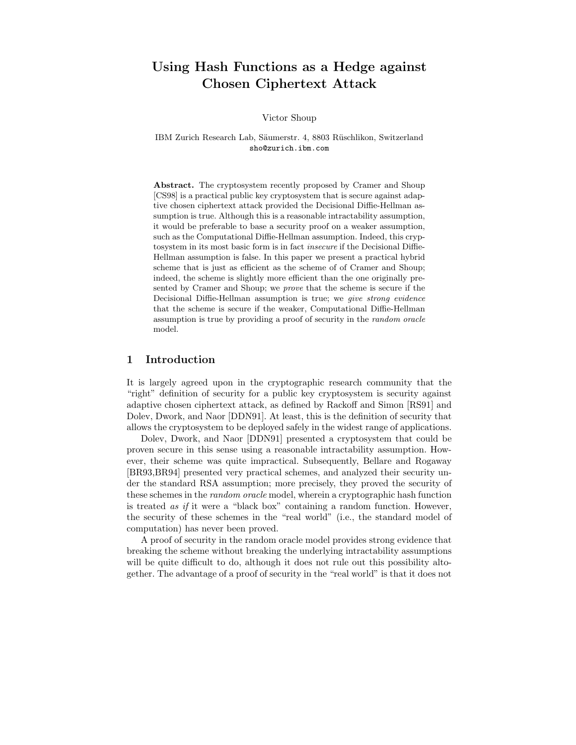# Using Hash Functions as a Hedge against Chosen Ciphertext Attack

Victor Shoup

IBM Zurich Research Lab, Säumerstr. 4, 8803 Rüschlikon, Switzerland sho@zurich.ibm.com

Abstract. The cryptosystem recently proposed by Cramer and Shoup [CS98] is a practical public key cryptosystem that is secure against adaptive chosen ciphertext attack provided the Decisional Diffie-Hellman assumption is true. Although this is a reasonable intractability assumption, it would be preferable to base a security proof on a weaker assumption, such as the Computational Diffie-Hellman assumption. Indeed, this cryptosystem in its most basic form is in fact insecure if the Decisional Diffie-Hellman assumption is false. In this paper we present a practical hybrid scheme that is just as efficient as the scheme of of Cramer and Shoup; indeed, the scheme is slightly more efficient than the one originally presented by Cramer and Shoup; we prove that the scheme is secure if the Decisional Diffie-Hellman assumption is true; we give strong evidence that the scheme is secure if the weaker, Computational Diffie-Hellman assumption is true by providing a proof of security in the random oracle model.

## 1 Introduction

It is largely agreed upon in the cryptographic research community that the "right" definition of security for a public key cryptosystem is security against adaptive chosen ciphertext attack, as defined by Rackoff and Simon [RS91] and Dolev, Dwork, and Naor [DDN91]. At least, this is the definition of security that allows the cryptosystem to be deployed safely in the widest range of applications.

Dolev, Dwork, and Naor [DDN91] presented a cryptosystem that could be proven secure in this sense using a reasonable intractability assumption. However, their scheme was quite impractical. Subsequently, Bellare and Rogaway [BR93,BR94] presented very practical schemes, and analyzed their security under the standard RSA assumption; more precisely, they proved the security of these schemes in the random oracle model, wherein a cryptographic hash function is treated as if it were a "black box" containing a random function. However, the security of these schemes in the "real world" (i.e., the standard model of computation) has never been proved.

A proof of security in the random oracle model provides strong evidence that breaking the scheme without breaking the underlying intractability assumptions will be quite difficult to do, although it does not rule out this possibility altogether. The advantage of a proof of security in the "real world" is that it does not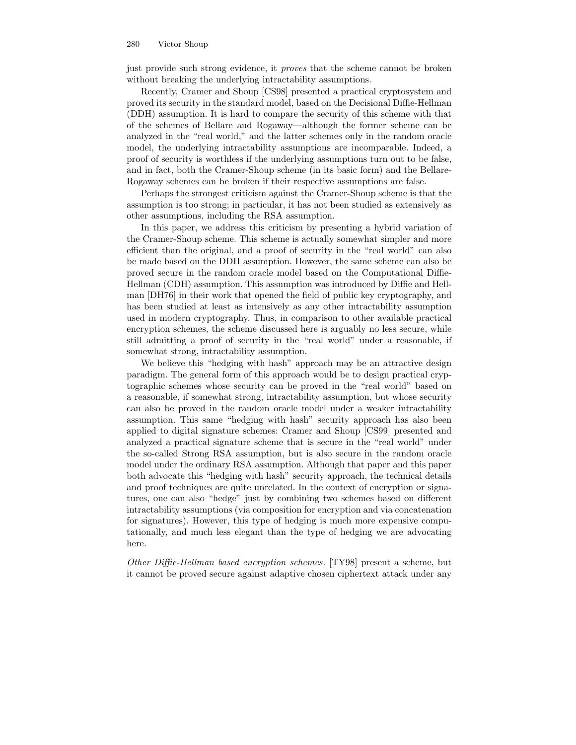#### 280 Victor Shoup

just provide such strong evidence, it proves that the scheme cannot be broken without breaking the underlying intractability assumptions.

Recently, Cramer and Shoup [CS98] presented a practical cryptosystem and proved its security in the standard model, based on the Decisional Diffie-Hellman (DDH) assumption. It is hard to compare the security of this scheme with that of the schemes of Bellare and Rogaway—although the former scheme can be analyzed in the "real world," and the latter schemes only in the random oracle model, the underlying intractability assumptions are incomparable. Indeed, a proof of security is worthless if the underlying assumptions turn out to be false, and in fact, both the Cramer-Shoup scheme (in its basic form) and the Bellare-Rogaway schemes can be broken if their respective assumptions are false.

Perhaps the strongest criticism against the Cramer-Shoup scheme is that the assumption is too strong; in particular, it has not been studied as extensively as other assumptions, including the RSA assumption.

In this paper, we address this criticism by presenting a hybrid variation of the Cramer-Shoup scheme. This scheme is actually somewhat simpler and more efficient than the original, and a proof of security in the "real world" can also be made based on the DDH assumption. However, the same scheme can also be proved secure in the random oracle model based on the Computational Diffie-Hellman (CDH) assumption. This assumption was introduced by Diffie and Hellman [DH76] in their work that opened the field of public key cryptography, and has been studied at least as intensively as any other intractability assumption used in modern cryptography. Thus, in comparison to other available practical encryption schemes, the scheme discussed here is arguably no less secure, while still admitting a proof of security in the "real world" under a reasonable, if somewhat strong, intractability assumption.

We believe this "hedging with hash" approach may be an attractive design paradigm. The general form of this approach would be to design practical cryptographic schemes whose security can be proved in the "real world" based on a reasonable, if somewhat strong, intractability assumption, but whose security can also be proved in the random oracle model under a weaker intractability assumption. This same "hedging with hash" security approach has also been applied to digital signature schemes: Cramer and Shoup [CS99] presented and analyzed a practical signature scheme that is secure in the "real world" under the so-called Strong RSA assumption, but is also secure in the random oracle model under the ordinary RSA assumption. Although that paper and this paper both advocate this "hedging with hash" security approach, the technical details and proof techniques are quite unrelated. In the context of encryption or signatures, one can also "hedge" just by combining two schemes based on different intractability assumptions (via composition for encryption and via concatenation for signatures). However, this type of hedging is much more expensive computationally, and much less elegant than the type of hedging we are advocating here.

Other Diffie-Hellman based encryption schemes. [TY98] present a scheme, but it cannot be proved secure against adaptive chosen ciphertext attack under any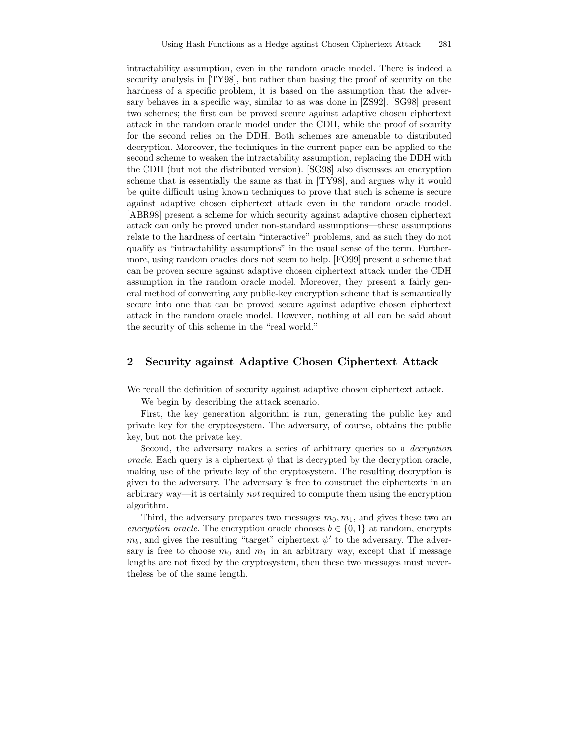intractability assumption, even in the random oracle model. There is indeed a security analysis in [TY98], but rather than basing the proof of security on the hardness of a specific problem, it is based on the assumption that the adversary behaves in a specific way, similar to as was done in [ZS92]. [SG98] present two schemes; the first can be proved secure against adaptive chosen ciphertext attack in the random oracle model under the CDH, while the proof of security for the second relies on the DDH. Both schemes are amenable to distributed decryption. Moreover, the techniques in the current paper can be applied to the second scheme to weaken the intractability assumption, replacing the DDH with the CDH (but not the distributed version). [SG98] also discusses an encryption scheme that is essentially the same as that in [TY98], and argues why it would be quite difficult using known techniques to prove that such is scheme is secure against adaptive chosen ciphertext attack even in the random oracle model. [ABR98] present a scheme for which security against adaptive chosen ciphertext attack can only be proved under non-standard assumptions—these assumptions relate to the hardness of certain "interactive" problems, and as such they do not qualify as "intractability assumptions" in the usual sense of the term. Furthermore, using random oracles does not seem to help. [FO99] present a scheme that can be proven secure against adaptive chosen ciphertext attack under the CDH assumption in the random oracle model. Moreover, they present a fairly general method of converting any public-key encryption scheme that is semantically secure into one that can be proved secure against adaptive chosen ciphertext attack in the random oracle model. However, nothing at all can be said about the security of this scheme in the "real world."

## 2 Security against Adaptive Chosen Ciphertext Attack

We recall the definition of security against adaptive chosen ciphertext attack.

We begin by describing the attack scenario.

First, the key generation algorithm is run, generating the public key and private key for the cryptosystem. The adversary, of course, obtains the public key, but not the private key.

Second, the adversary makes a series of arbitrary queries to a decryption oracle. Each query is a ciphertext  $\psi$  that is decrypted by the decryption oracle, making use of the private key of the cryptosystem. The resulting decryption is given to the adversary. The adversary is free to construct the ciphertexts in an arbitrary way—it is certainly *not* required to compute them using the encryption algorithm.

Third, the adversary prepares two messages  $m_0, m_1$ , and gives these two an encryption oracle. The encryption oracle chooses  $b \in \{0, 1\}$  at random, encrypts  $m_b$ , and gives the resulting "target" ciphertext  $\psi'$  to the adversary. The adversary is free to choose  $m_0$  and  $m_1$  in an arbitrary way, except that if message lengths are not fixed by the cryptosystem, then these two messages must nevertheless be of the same length.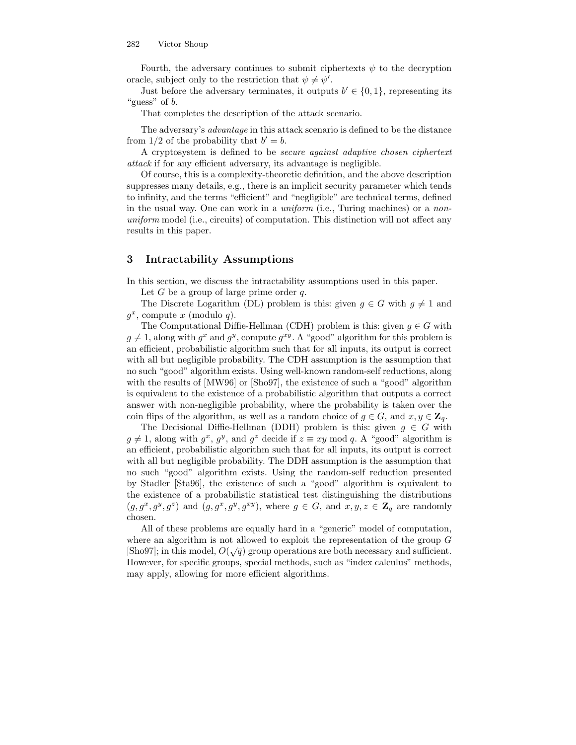Fourth, the adversary continues to submit ciphertexts  $\psi$  to the decryption oracle, subject only to the restriction that  $\psi \neq \psi'$ .

Just before the adversary terminates, it outputs  $b' \in \{0, 1\}$ , representing its "guess" of  $b$ .

That completes the description of the attack scenario.

The adversary's advantage in this attack scenario is defined to be the distance from  $1/2$  of the probability that  $b' = b$ .

A cryptosystem is defined to be secure against adaptive chosen ciphertext attack if for any efficient adversary, its advantage is negligible.

Of course, this is a complexity-theoretic definition, and the above description suppresses many details, e.g., there is an implicit security parameter which tends to infinity, and the terms "efficient" and "negligible" are technical terms, defined in the usual way. One can work in a *uniform* (i.e., Turing machines) or a *non*uniform model (i.e., circuits) of computation. This distinction will not affect any results in this paper.

## 3 Intractability Assumptions

In this section, we discuss the intractability assumptions used in this paper.

Let G be a group of large prime order  $q$ .

The Discrete Logarithm (DL) problem is this: given  $g \in G$  with  $g \neq 1$  and  $g^x$ , compute x (modulo q).

The Computational Diffie-Hellman (CDH) problem is this: given  $g \in G$  with  $g \neq 1$ , along with  $g^x$  and  $g^y$ , compute  $g^{xy}$ . A "good" algorithm for this problem is an efficient, probabilistic algorithm such that for all inputs, its output is correct with all but negligible probability. The CDH assumption is the assumption that no such "good" algorithm exists. Using well-known random-self reductions, along with the results of [MW96] or [Sho97], the existence of such a "good" algorithm is equivalent to the existence of a probabilistic algorithm that outputs a correct answer with non-negligible probability, where the probability is taken over the coin flips of the algorithm, as well as a random choice of  $g \in G$ , and  $x, y \in \mathbb{Z}_q$ .

The Decisional Diffie-Hellman (DDH) problem is this: given  $g \in G$  with  $g \neq 1$ , along with  $g^x$ ,  $g^y$ , and  $g^z$  decide if  $z \equiv xy \mod q$ . A "good" algorithm is an efficient, probabilistic algorithm such that for all inputs, its output is correct with all but negligible probability. The DDH assumption is the assumption that no such "good" algorithm exists. Using the random-self reduction presented by Stadler [Sta96], the existence of such a "good" algorithm is equivalent to the existence of a probabilistic statistical test distinguishing the distributions  $(g, g^x, g^y, g^z)$  and  $(g, g^x, g^y, g^{xy})$ , where  $g \in G$ , and  $x, y, z \in \mathbb{Z}_q$  are randomly chosen.

All of these problems are equally hard in a "generic" model of computation, where an algorithm is not allowed to exploit the representation of the group G [Sho97]; in this model,  $O(\sqrt{q})$  group operations are both necessary and sufficient. However, for specific groups, special methods, such as "index calculus" methods, may apply, allowing for more efficient algorithms.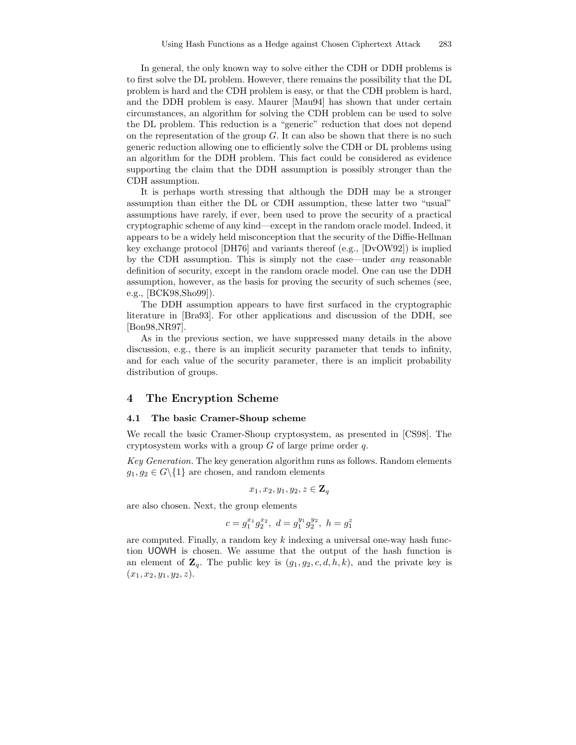In general, the only known way to solve either the CDH or DDH problems is to first solve the DL problem. However, there remains the possibility that the DL problem is hard and the CDH problem is easy, or that the CDH problem is hard, and the DDH problem is easy. Maurer [Mau94] has shown that under certain circumstances, an algorithm for solving the CDH problem can be used to solve the DL problem. This reduction is a "generic" reduction that does not depend on the representation of the group  $G$ . It can also be shown that there is no such generic reduction allowing one to efficiently solve the CDH or DL problems using an algorithm for the DDH problem. This fact could be considered as evidence supporting the claim that the DDH assumption is possibly stronger than the CDH assumption.

It is perhaps worth stressing that although the DDH may be a stronger assumption than either the DL or CDH assumption, these latter two "usual" assumptions have rarely, if ever, been used to prove the security of a practical cryptographic scheme of any kind—except in the random oracle model. Indeed, it appears to be a widely held misconception that the security of the Diffie-Hellman key exchange protocol [DH76] and variants thereof (e.g., [DvOW92]) is implied by the CDH assumption. This is simply not the case—under any reasonable definition of security, except in the random oracle model. One can use the DDH assumption, however, as the basis for proving the security of such schemes (see, e.g., [BCK98,Sho99]).

The DDH assumption appears to have first surfaced in the cryptographic literature in [Bra93]. For other applications and discussion of the DDH, see [Bon98,NR97].

As in the previous section, we have suppressed many details in the above discussion, e.g., there is an implicit security parameter that tends to infinity, and for each value of the security parameter, there is an implicit probability distribution of groups.

## 4 The Encryption Scheme

#### 4.1 The basic Cramer-Shoup scheme

We recall the basic Cramer-Shoup cryptosystem, as presented in [CS98]. The cryptosystem works with a group  $G$  of large prime order  $q$ .

Key Generation. The key generation algorithm runs as follows. Random elements  $g_1, g_2 \in G \backslash \{1\}$  are chosen, and random elements

$$
x_1, x_2, y_1, y_2, z \in \mathbf{Z}_q
$$

are also chosen. Next, the group elements

$$
c=g_1^{x_1}g_2^{x_2},\ d=g_1^{y_1}g_2^{y_2},\ h=g_1^z
$$

are computed. Finally, a random key  $k$  indexing a universal one-way hash function UOWH is chosen. We assume that the output of the hash function is an element of  $\mathbf{Z}_q$ . The public key is  $(g_1, g_2, c, d, h, k)$ , and the private key is  $(x_1, x_2, y_1, y_2, z).$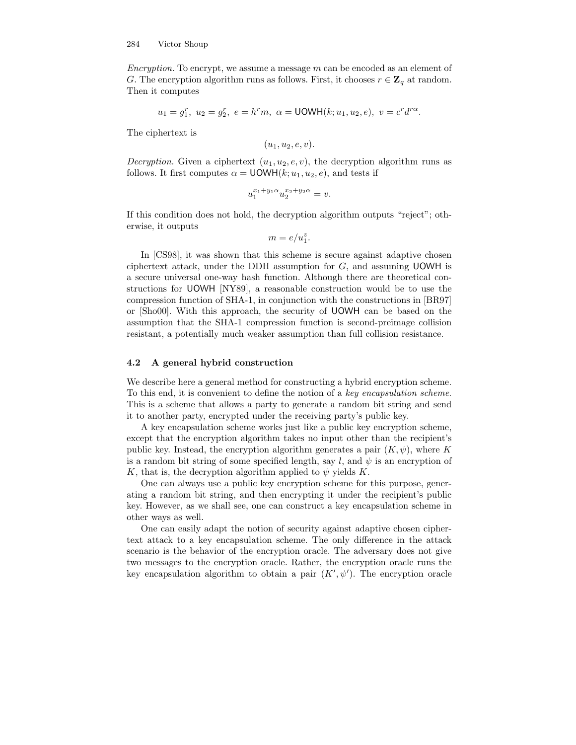Encryption. To encrypt, we assume a message m can be encoded as an element of G. The encryption algorithm runs as follows. First, it chooses  $r \in \mathbb{Z}_q$  at random. Then it computes

$$
u_1 = g_1^r
$$
,  $u_2 = g_2^r$ ,  $e = h^r m$ ,  $\alpha = \text{UOWH}(k; u_1, u_2, e)$ ,  $v = c^r d^{r\alpha}$ .

The ciphertext is

$$
(u_1, u_2, e, v).
$$

*Decryption.* Given a ciphertext  $(u_1, u_2, e, v)$ , the decryption algorithm runs as follows. It first computes  $\alpha = \text{UOWH}(k; u_1, u_2, e)$ , and tests if

$$
u_1^{x_1+y_1\alpha}u_2^{x_2+y_2\alpha} = v.
$$

If this condition does not hold, the decryption algorithm outputs "reject"; otherwise, it outputs

$$
m = e/u_1^z.
$$

In [CS98], it was shown that this scheme is secure against adaptive chosen ciphertext attack, under the DDH assumption for  $G$ , and assuming UOWH is a secure universal one-way hash function. Although there are theoretical constructions for UOWH [NY89], a reasonable construction would be to use the compression function of SHA-1, in conjunction with the constructions in [BR97] or [Sho00]. With this approach, the security of UOWH can be based on the assumption that the SHA-1 compression function is second-preimage collision resistant, a potentially much weaker assumption than full collision resistance.

### 4.2 A general hybrid construction

We describe here a general method for constructing a hybrid encryption scheme. To this end, it is convenient to define the notion of a key encapsulation scheme. This is a scheme that allows a party to generate a random bit string and send it to another party, encrypted under the receiving party's public key.

A key encapsulation scheme works just like a public key encryption scheme, except that the encryption algorithm takes no input other than the recipient's public key. Instead, the encryption algorithm generates a pair  $(K, \psi)$ , where K is a random bit string of some specified length, say l, and  $\psi$  is an encryption of K, that is, the decryption algorithm applied to  $\psi$  yields K.

One can always use a public key encryption scheme for this purpose, generating a random bit string, and then encrypting it under the recipient's public key. However, as we shall see, one can construct a key encapsulation scheme in other ways as well.

One can easily adapt the notion of security against adaptive chosen ciphertext attack to a key encapsulation scheme. The only difference in the attack scenario is the behavior of the encryption oracle. The adversary does not give two messages to the encryption oracle. Rather, the encryption oracle runs the key encapsulation algorithm to obtain a pair  $(K', \psi')$ . The encryption oracle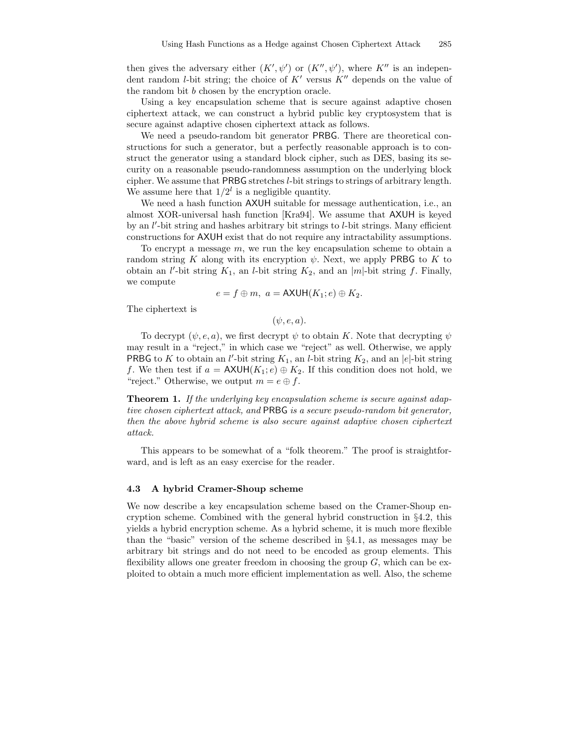then gives the adversary either  $(K', \psi')$  or  $(K'', \psi')$ , where  $K''$  is an independent random *l*-bit string; the choice of  $K'$  versus  $K''$  depends on the value of the random bit b chosen by the encryption oracle.

Using a key encapsulation scheme that is secure against adaptive chosen ciphertext attack, we can construct a hybrid public key cryptosystem that is secure against adaptive chosen ciphertext attack as follows.

We need a pseudo-random bit generator PRBG. There are theoretical constructions for such a generator, but a perfectly reasonable approach is to construct the generator using a standard block cipher, such as DES, basing its security on a reasonable pseudo-randomness assumption on the underlying block cipher. We assume that PRBG stretches l-bit strings to strings of arbitrary length. We assume here that  $1/2^l$  is a negligible quantity.

We need a hash function AXUH suitable for message authentication, i.e., an almost XOR-universal hash function [Kra94]. We assume that AXUH is keyed by an l'-bit string and hashes arbitrary bit strings to l-bit strings. Many efficient constructions for AXUH exist that do not require any intractability assumptions.

To encrypt a message  $m$ , we run the key encapsulation scheme to obtain a random string K along with its encryption  $\psi$ . Next, we apply PRBG to K to obtain an *l'*-bit string  $K_1$ , an *l*-bit string  $K_2$ , and an |m|-bit string f. Finally, we compute

$$
e=f\oplus m,\ a=\mathsf{AXUH}(K_1;e)\oplus K_2.
$$

The ciphertext is

 $(\psi, e, a).$ 

To decrypt  $(\psi, e, a)$ , we first decrypt  $\psi$  to obtain K. Note that decrypting  $\psi$ may result in a "reject," in which case we "reject" as well. Otherwise, we apply **PRBG** to K to obtain an l'-bit string  $K_1$ , an l-bit string  $K_2$ , and an |e|-bit string f. We then test if  $a = \text{AXUH}(K_1; e) \oplus K_2$ . If this condition does not hold, we "reject." Otherwise, we output  $m = e \oplus f$ .

**Theorem 1.** If the underlying key encapsulation scheme is secure against adaptive chosen ciphertext attack, and PRBG is a secure pseudo-random bit generator, then the above hybrid scheme is also secure against adaptive chosen ciphertext attack.

This appears to be somewhat of a "folk theorem." The proof is straightforward, and is left as an easy exercise for the reader.

#### 4.3 A hybrid Cramer-Shoup scheme

We now describe a key encapsulation scheme based on the Cramer-Shoup encryption scheme. Combined with the general hybrid construction in §4.2, this yields a hybrid encryption scheme. As a hybrid scheme, it is much more flexible than the "basic" version of the scheme described in §4.1, as messages may be arbitrary bit strings and do not need to be encoded as group elements. This flexibility allows one greater freedom in choosing the group  $G$ , which can be exploited to obtain a much more efficient implementation as well. Also, the scheme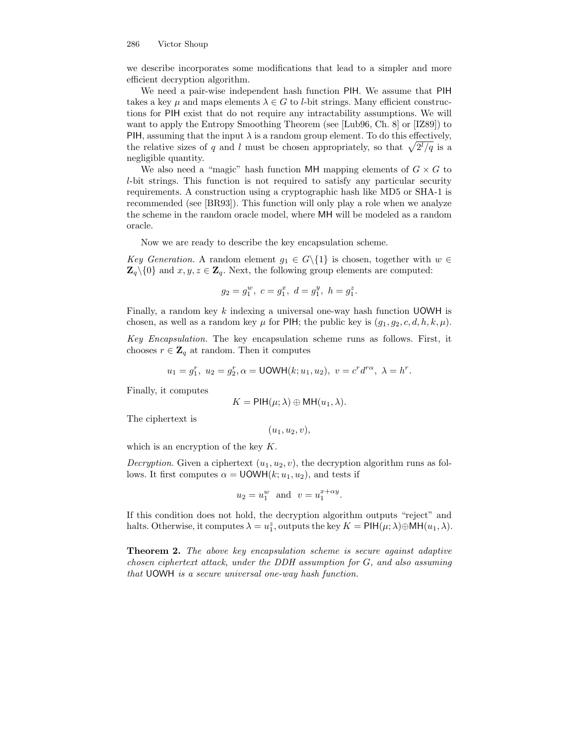#### 286 Victor Shoup

we describe incorporates some modifications that lead to a simpler and more efficient decryption algorithm.

We need a pair-wise independent hash function PIH. We assume that PIH takes a key  $\mu$  and maps elements  $\lambda \in G$  to *l*-bit strings. Many efficient constructions for PIH exist that do not require any intractability assumptions. We will want to apply the Entropy Smoothing Theorem (see [Lub96, Ch. 8] or [IZ89]) to PIH, assuming that the input  $\lambda$  is a random group element. To do this effectively, the relative sizes of q and l must be chosen appropriately, so that  $\sqrt{2^l/q}$  is a negligible quantity.

We also need a "magic" hash function MH mapping elements of  $G \times G$  to l-bit strings. This function is not required to satisfy any particular security requirements. A construction using a cryptographic hash like MD5 or SHA-1 is recommended (see [BR93]). This function will only play a role when we analyze the scheme in the random oracle model, where MH will be modeled as a random oracle.

Now we are ready to describe the key encapsulation scheme.

Key Generation. A random element  $g_1 \in G \backslash \{1\}$  is chosen, together with  $w \in$  $\mathbf{Z}_q \setminus \{0\}$  and  $x, y, z \in \mathbf{Z}_q$ . Next, the following group elements are computed:

$$
g_2=g_1^w,\ c=g_1^x,\ d=g_1^y,\ h=g_1^z.
$$

Finally, a random key  $k$  indexing a universal one-way hash function UOWH is chosen, as well as a random key  $\mu$  for PIH; the public key is  $(g_1, g_2, c, d, h, k, \mu)$ .

Key Encapsulation. The key encapsulation scheme runs as follows. First, it chooses  $r \in \mathbb{Z}_q$  at random. Then it computes

$$
u_1 = g_1^r, \ u_2 = g_2^r, \alpha = \text{UOWH}(k; u_1, u_2), \ v = c^r d^{r\alpha}, \ \lambda = h^r.
$$

Finally, it computes

$$
K = \mathsf{PIH}(\mu; \lambda) \oplus \mathsf{MH}(u_1, \lambda).
$$

The ciphertext is

$$
(u_1, u_2, v),
$$

which is an encryption of the key K.

*Decryption.* Given a ciphertext  $(u_1, u_2, v)$ , the decryption algorithm runs as follows. It first computes  $\alpha = \text{UOWH}(k; u_1, u_2)$ , and tests if

$$
u_2 = u_1^w \quad \text{and} \quad v = u_1^{x + \alpha y}.
$$

If this condition does not hold, the decryption algorithm outputs "reject" and halts. Otherwise, it computes  $\lambda = u_1^z$ , outputs the key  $K = \text{PIH}(\mu; \lambda) \oplus \text{MH}(u_1, \lambda)$ .

**Theorem 2.** The above key encapsulation scheme is secure against adaptive chosen ciphertext attack, under the DDH assumption for G, and also assuming that UOWH is a secure universal one-way hash function.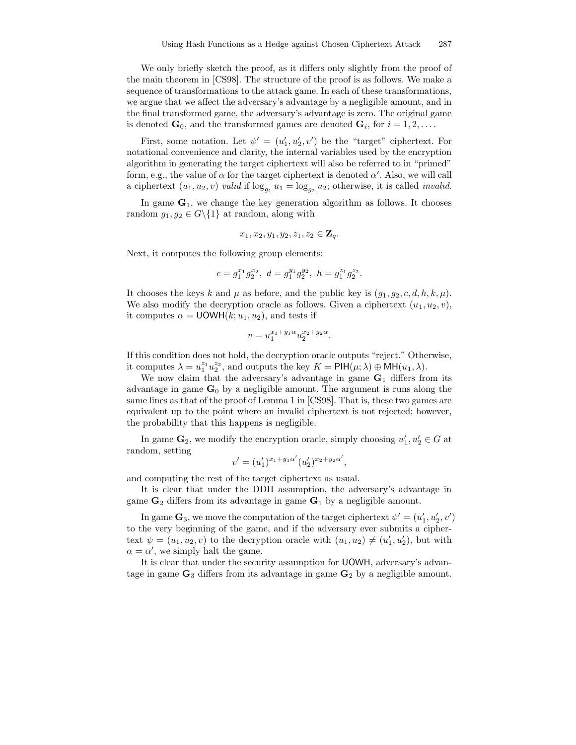We only briefly sketch the proof, as it differs only slightly from the proof of the main theorem in [CS98]. The structure of the proof is as follows. We make a sequence of transformations to the attack game. In each of these transformations, we argue that we affect the adversary's advantage by a negligible amount, and in the final transformed game, the adversary's advantage is zero. The original game is denoted  $\mathbf{G}_0$ , and the transformed games are denoted  $\mathbf{G}_i$ , for  $i = 1, 2, \ldots$ .

First, some notation. Let  $\psi' = (u'_1, u'_2, v')$  be the "target" ciphertext. For notational convenience and clarity, the internal variables used by the encryption algorithm in generating the target ciphertext will also be referred to in "primed" form, e.g., the value of  $\alpha$  for the target ciphertext is denoted  $\alpha'$ . Also, we will call a ciphertext  $(u_1, u_2, v)$  valid if  $\log_{g_1} u_1 = \log_{g_2} u_2$ ; otherwise, it is called *invalid.* 

In game  $G_1$ , we change the key generation algorithm as follows. It chooses random  $g_1, g_2 \in G \backslash \{1\}$  at random, along with

$$
x_1, x_2, y_1, y_2, z_1, z_2 \in \mathbf{Z}_q.
$$

Next, it computes the following group elements:

$$
c=g_1^{x_1}g_2^{x_2},\ d=g_1^{y_1}g_2^{y_2},\ h=g_1^{z_1}g_2^{z_2}.
$$

It chooses the keys k and  $\mu$  as before, and the public key is  $(g_1, g_2, c, d, h, k, \mu)$ . We also modify the decryption oracle as follows. Given a ciphertext  $(u_1, u_2, v)$ , it computes  $\alpha = \text{UOWH}(k; u_1, u_2)$ , and tests if

$$
v = u_1^{x_1 + y_1 \alpha} u_2^{x_2 + y_2 \alpha}.
$$

If this condition does not hold, the decryption oracle outputs "reject." Otherwise, it computes  $\lambda = u_1^{z_1} u_2^{z_2}$ , and outputs the key  $K = \text{PIH}(\mu; \lambda) \oplus \text{MH}(u_1, \lambda)$ .

We now claim that the adversary's advantage in game  $G_1$  differs from its advantage in game  $\mathbf{G}_0$  by a negligible amount. The argument is runs along the same lines as that of the proof of Lemma 1 in [CS98]. That is, these two games are equivalent up to the point where an invalid ciphertext is not rejected; however, the probability that this happens is negligible.

In game  $\mathbf{G}_2$ , we modify the encryption oracle, simply choosing  $u'_1, u'_2 \in G$  at random, setting

$$
v' = (u'_1)^{x_1 + y_1 \alpha'} (u'_2)^{x_2 + y_2 \alpha'},
$$

and computing the rest of the target ciphertext as usual.

It is clear that under the DDH assumption, the adversary's advantage in game  $\mathbf{G}_2$  differs from its advantage in game  $\mathbf{G}_1$  by a negligible amount.

In game  $\mathbf{G}_3$ , we move the computation of the target ciphertext  $\psi' = (u'_1, u'_2, v')$ to the very beginning of the game, and if the adversary ever submits a ciphertext  $\psi = (u_1, u_2, v)$  to the decryption oracle with  $(u_1, u_2) \neq (u'_1, u'_2)$ , but with  $\alpha = \alpha'$ , we simply halt the game.

It is clear that under the security assumption for UOWH, adversary's advantage in game  $\mathbf{G}_3$  differs from its advantage in game  $\mathbf{G}_2$  by a negligible amount.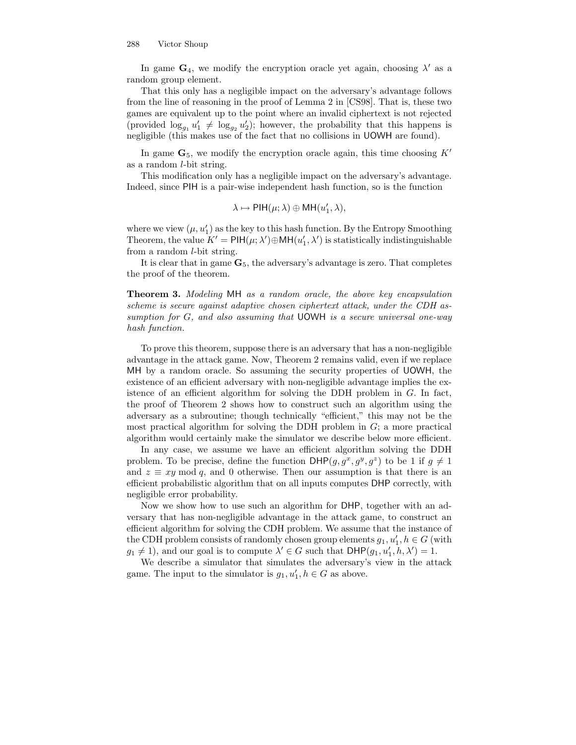In game  $\mathbf{G}_4$ , we modify the encryption oracle yet again, choosing  $\lambda'$  as a random group element.

That this only has a negligible impact on the adversary's advantage follows from the line of reasoning in the proof of Lemma 2 in [CS98]. That is, these two games are equivalent up to the point where an invalid ciphertext is not rejected (provided  $\log_{g_1} u'_1 \neq \log_{g_2} u'_2$ ); however, the probability that this happens is negligible (this makes use of the fact that no collisions in UOWH are found).

In game  $\mathbf{G}_5$ , we modify the encryption oracle again, this time choosing  $K'$ as a random  $l$ -bit string.

This modification only has a negligible impact on the adversary's advantage. Indeed, since PIH is a pair-wise independent hash function, so is the function

$$
\lambda \mapsto \textup{PH}(\mu;\lambda) \oplus \textup{MH}(u_1',\lambda),
$$

where we view  $(\mu, u'_1)$  as the key to this hash function. By the Entropy Smoothing Theorem, the value  $K' = \text{PIH}(\mu; \lambda') \oplus \text{MH}(u'_1, \lambda')$  is statistically indistinguishable from a random l-bit string.

It is clear that in game  $\mathbf{G}_5$ , the adversary's advantage is zero. That completes the proof of the theorem.

Theorem 3. Modeling MH as a random oracle, the above key encapsulation scheme is secure against adaptive chosen ciphertext attack, under the CDH assumption for G, and also assuming that UOWH is a secure universal one-way hash function.

To prove this theorem, suppose there is an adversary that has a non-negligible advantage in the attack game. Now, Theorem 2 remains valid, even if we replace MH by a random oracle. So assuming the security properties of UOWH, the existence of an efficient adversary with non-negligible advantage implies the existence of an efficient algorithm for solving the DDH problem in  $G$ . In fact, the proof of Theorem 2 shows how to construct such an algorithm using the adversary as a subroutine; though technically "efficient," this may not be the most practical algorithm for solving the DDH problem in  $G$ ; a more practical algorithm would certainly make the simulator we describe below more efficient.

In any case, we assume we have an efficient algorithm solving the DDH problem. To be precise, define the function  $DHP(g, g^x, g^y, g^z)$  to be 1 if  $g \neq 1$ and  $z \equiv xy \mod q$ , and 0 otherwise. Then our assumption is that there is an efficient probabilistic algorithm that on all inputs computes DHP correctly, with negligible error probability.

Now we show how to use such an algorithm for DHP, together with an adversary that has non-negligible advantage in the attack game, to construct an efficient algorithm for solving the CDH problem. We assume that the instance of the CDH problem consists of randomly chosen group elements  $g_1, u'_1, h \in G$  (with  $g_1 \neq 1$ , and our goal is to compute  $\lambda' \in G$  such that  $DHP(g_1, u'_1, h, \lambda') = 1$ .

We describe a simulator that simulates the adversary's view in the attack game. The input to the simulator is  $g_1, u'_1, h \in G$  as above.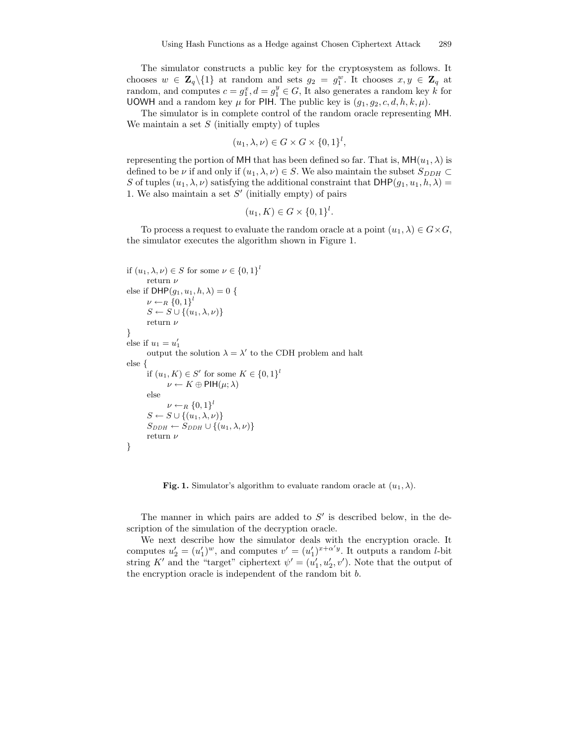The simulator constructs a public key for the cryptosystem as follows. It chooses  $w \in \mathbf{Z}_q \setminus \{1\}$  at random and sets  $g_2 = g_1^w$ . It chooses  $x, y \in \mathbf{Z}_q$  at random, and computes  $c = g_1^x$ ,  $d = g_1^y \in G$ , It also generates a random key k for UOWH and a random key  $\mu$  for PIH. The public key is  $(g_1, g_2, c, d, h, k, \mu)$ .

The simulator is in complete control of the random oracle representing MH. We maintain a set  $S$  (initially empty) of tuples

$$
(u_1, \lambda, \nu) \in G \times G \times \{0, 1\}^l,
$$

representing the portion of MH that has been defined so far. That is,  $MH(u_1, \lambda)$  is defined to be  $\nu$  if and only if  $(u_1, \lambda, \nu) \in S$ . We also maintain the subset  $S_{DDH} \subset$ S of tuples  $(u_1, \lambda, \nu)$  satisfying the additional constraint that  $DHP(g_1, u_1, h, \lambda)$ 1. We also maintain a set  $S'$  (initially empty) of pairs

$$
(u_1, K) \in G \times \{0, 1\}^l.
$$

To process a request to evaluate the random oracle at a point  $(u_1, \lambda) \in G \times G$ , the simulator executes the algorithm shown in Figure 1.

```
if (u_1, \lambda, \nu) \in S for some \nu \in \{0, 1\}^lreturn\nuelse if \text{DHP}(g_1, u_1, h, \lambda) = 0 {
         \nu \leftarrow_R \{0,1\}^lS \leftarrow S \cup \{(u_1, \lambda, \nu)\}\return\nu}
else if u_1 = u'_1output the solution \lambda = \lambda' to the CDH problem and halt
else {
         if (u_1, K) \in S' for some K \in \{0, 1\}^l\nu \leftarrow K \oplus \text{PIH}(\mu; \lambda)else
                 \nu \leftarrow_R \{0,1\}^lS \leftarrow S \cup \{(u_1, \lambda, \nu)\}\S_{DDH} \leftarrow S_{DDH} \cup \{(u_1, \lambda, \nu)\}return\nu}
```
**Fig. 1.** Simulator's algorithm to evaluate random oracle at  $(u_1, \lambda)$ .

The manner in which pairs are added to  $S'$  is described below, in the description of the simulation of the decryption oracle.

We next describe how the simulator deals with the encryption oracle. It computes  $u_2' = (u_1')^w$ , and computes  $v' = (u_1')^{x + \alpha' y}$ . It outputs a random *l*-bit string K' and the "target" ciphertext  $\psi' = (u'_1, u'_2, v')$ . Note that the output of the encryption oracle is independent of the random bit b.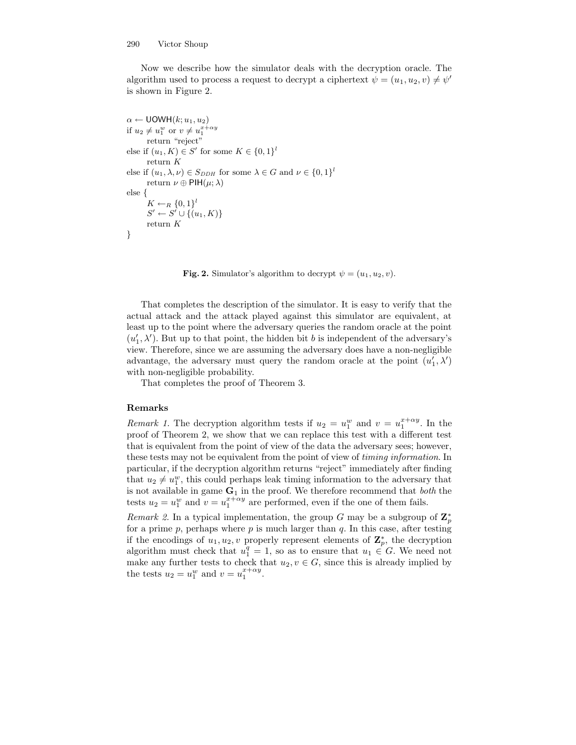Now we describe how the simulator deals with the decryption oracle. The algorithm used to process a request to decrypt a ciphertext  $\psi = (u_1, u_2, v) \neq \psi'$ is shown in Figure 2.

 $\alpha \leftarrow \text{UOWH}(k; u_1, u_2)$ if  $u_2 \neq u_1^w$  or  $v \neq u_1^{x+\alpha y}$ return "reject" else if  $(u_1, K) \in S'$  for some  $K \in \{0, 1\}^l$ return K else if  $(u_1, \lambda, \nu) \in S_{DDH}$  for some  $\lambda \in G$  and  $\nu \in \{0, 1\}^l$ return  $\nu \oplus \text{PIH}(\mu; \lambda)$ else {  $K \leftarrow_R \{0,1\}^l$  $S' \leftarrow S' \cup \{(u_1, K)\}$ return K }

Fig. 2. Simulator's algorithm to decrypt  $\psi = (u_1, u_2, v)$ .

That completes the description of the simulator. It is easy to verify that the actual attack and the attack played against this simulator are equivalent, at least up to the point where the adversary queries the random oracle at the point  $(u'_1, \lambda')$ . But up to that point, the hidden bit b is independent of the adversary's view. Therefore, since we are assuming the adversary does have a non-negligible advantage, the adversary must query the random oracle at the point  $(u'_1, \lambda')$ with non-negligible probability.

That completes the proof of Theorem 3.

#### Remarks

Remark 1. The decryption algorithm tests if  $u_2 = u_1^w$  and  $v = u_1^{x + \alpha y}$ . In the proof of Theorem 2, we show that we can replace this test with a different test that is equivalent from the point of view of the data the adversary sees; however, these tests may not be equivalent from the point of view of timing information. In particular, if the decryption algorithm returns "reject" immediately after finding that  $u_2 \neq u_1^w$ , this could perhaps leak timing information to the adversary that is not available in game  $G_1$  in the proof. We therefore recommend that *both* the tests  $u_2 = u_1^w$  and  $v = u_1^{x + \alpha y}$  are performed, even if the one of them fails.

Remark 2. In a typical implementation, the group G may be a subgroup of  $\mathbf{Z}_p^*$ for a prime  $p$ , perhaps where  $p$  is much larger than  $q$ . In this case, after testing if the encodings of  $u_1, u_2, v$  properly represent elements of  $\mathbf{Z}_p^*$ , the decryption algorithm must check that  $u_1^q = 1$ , so as to ensure that  $u_1 \in G$ . We need not make any further tests to check that  $u_2, v \in G$ , since this is already implied by the tests  $u_2 = u_1^w$  and  $v = u_1^{x + \alpha y}$ .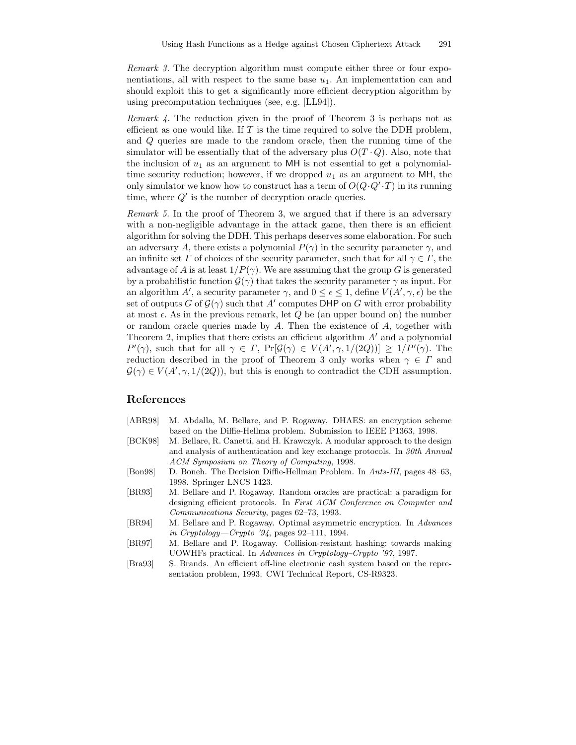Remark 3. The decryption algorithm must compute either three or four exponentiations, all with respect to the same base  $u_1$ . An implementation can and should exploit this to get a significantly more efficient decryption algorithm by using precomputation techniques (see, e.g. [LL94]).

Remark 4. The reduction given in the proof of Theorem 3 is perhaps not as efficient as one would like. If  $T$  is the time required to solve the DDH problem, and Q queries are made to the random oracle, then the running time of the simulator will be essentially that of the adversary plus  $O(T \cdot Q)$ . Also, note that the inclusion of  $u_1$  as an argument to MH is not essential to get a polynomialtime security reduction; however, if we dropped  $u_1$  as an argument to MH, the only simulator we know how to construct has a term of  $O(Q \cdot Q' \cdot T)$  in its running time, where  $Q'$  is the number of decryption oracle queries.

Remark 5. In the proof of Theorem 3, we argued that if there is an adversary with a non-negligible advantage in the attack game, then there is an efficient algorithm for solving the DDH. This perhaps deserves some elaboration. For such an adversary A, there exists a polynomial  $P(\gamma)$  in the security parameter  $\gamma$ , and an infinite set  $\Gamma$  of choices of the security parameter, such that for all  $\gamma \in \Gamma$ , the advantage of A is at least  $1/P(\gamma)$ . We are assuming that the group G is generated by a probabilistic function  $\mathcal{G}(\gamma)$  that takes the security parameter  $\gamma$  as input. For an algorithm A', a security parameter  $\gamma$ , and  $0 \leq \epsilon \leq 1$ , define  $V(A', \gamma, \epsilon)$  be the set of outputs  $G$  of  $\mathcal{G}(\gamma)$  such that  $A'$  computes DHP on  $G$  with error probability at most  $\epsilon$ . As in the previous remark, let Q be (an upper bound on) the number or random oracle queries made by A. Then the existence of A, together with Theorem 2, implies that there exists an efficient algorithm  $A'$  and a polynomial  $P'(\gamma)$ , such that for all  $\gamma \in \Gamma$ ,  $Pr[\mathcal{G}(\gamma) \in V(A', \gamma, 1/(2Q))] \geq 1/P'(\gamma)$ . The reduction described in the proof of Theorem 3 only works when  $\gamma \in \Gamma$  and  $\mathcal{G}(\gamma) \in V(A', \gamma, 1/(2Q))$ , but this is enough to contradict the CDH assumption.

## References

- [ABR98] M. Abdalla, M. Bellare, and P. Rogaway. DHAES: an encryption scheme based on the Diffie-Hellma problem. Submission to IEEE P1363, 1998.
- [BCK98] M. Bellare, R. Canetti, and H. Krawczyk. A modular approach to the design and analysis of authentication and key exchange protocols. In 30th Annual ACM Symposium on Theory of Computing, 1998.
- [Bon98] D. Boneh. The Decision Diffie-Hellman Problem. In Ants-III, pages 48–63, 1998. Springer LNCS 1423.
- [BR93] M. Bellare and P. Rogaway. Random oracles are practical: a paradigm for designing efficient protocols. In First ACM Conference on Computer and Communications Security, pages 62–73, 1993.
- [BR94] M. Bellare and P. Rogaway. Optimal asymmetric encryption. In Advances in Cryptology—Crypto '94, pages 92–111, 1994.
- [BR97] M. Bellare and P. Rogaway. Collision-resistant hashing: towards making UOWHFs practical. In Advances in Cryptology–Crypto '97, 1997.
- [Bra93] S. Brands. An efficient off-line electronic cash system based on the representation problem, 1993. CWI Technical Report, CS-R9323.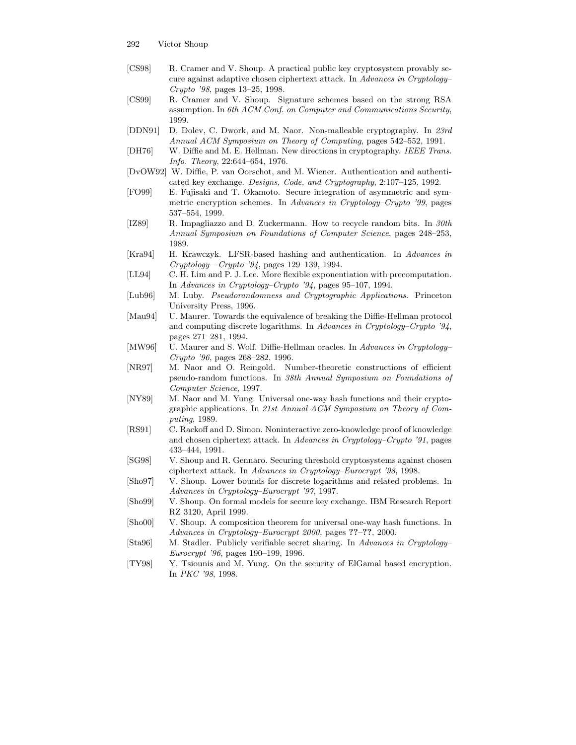- 292 Victor Shoup
- [CS98] R. Cramer and V. Shoup. A practical public key cryptosystem provably secure against adaptive chosen ciphertext attack. In Advances in Cryptology– Crypto '98, pages 13–25, 1998.
- [CS99] R. Cramer and V. Shoup. Signature schemes based on the strong RSA assumption. In 6th ACM Conf. on Computer and Communications Security, 1999.
- [DDN91] D. Dolev, C. Dwork, and M. Naor. Non-malleable cryptography. In 23rd Annual ACM Symposium on Theory of Computing, pages 542–552, 1991.
- [DH76] W. Diffie and M. E. Hellman. New directions in cryptography. IEEE Trans. Info. Theory, 22:644–654, 1976.
- [DvOW92] W. Diffie, P. van Oorschot, and M. Wiener. Authentication and authenticated key exchange. Designs, Code, and Cryptography, 2:107–125, 1992.
- [FO99] E. Fujisaki and T. Okamoto. Secure integration of asymmetric and symmetric encryption schemes. In Advances in Cryptology–Crypto '99, pages 537–554, 1999.
- [IZ89] R. Impagliazzo and D. Zuckermann. How to recycle random bits. In 30th Annual Symposium on Foundations of Computer Science, pages 248–253, 1989.
- [Kra94] H. Krawczyk. LFSR-based hashing and authentication. In Advances in Cryptology—Crypto '94, pages 129–139, 1994.
- [LL94] C. H. Lim and P. J. Lee. More flexible exponentiation with precomputation. In Advances in Cryptology–Crypto '94, pages 95–107, 1994.
- [Lub96] M. Luby. Pseudorandomness and Cryptographic Applications. Princeton University Press, 1996.
- [Mau94] U. Maurer. Towards the equivalence of breaking the Diffie-Hellman protocol and computing discrete logarithms. In Advances in Cryptology–Crypto '94, pages 271–281, 1994.
- [MW96] U. Maurer and S. Wolf. Diffie-Hellman oracles. In Advances in Cryptology– Crypto '96, pages 268–282, 1996.
- [NR97] M. Naor and O. Reingold. Number-theoretic constructions of efficient pseudo-random functions. In 38th Annual Symposium on Foundations of Computer Science, 1997.
- [NY89] M. Naor and M. Yung. Universal one-way hash functions and their cryptographic applications. In 21st Annual ACM Symposium on Theory of Computing, 1989.
- [RS91] C. Rackoff and D. Simon. Noninteractive zero-knowledge proof of knowledge and chosen ciphertext attack. In Advances in Cryptology–Crypto '91, pages 433–444, 1991.
- [SG98] V. Shoup and R. Gennaro. Securing threshold cryptosystems against chosen ciphertext attack. In Advances in Cryptology–Eurocrypt '98, 1998.
- [Sho97] V. Shoup. Lower bounds for discrete logarithms and related problems. In Advances in Cryptology–Eurocrypt '97, 1997.
- [Sho99] V. Shoup. On formal models for secure key exchange. IBM Research Report RZ 3120, April 1999.
- [Sho00] V. Shoup. A composition theorem for universal one-way hash functions. In Advances in Cryptology–Eurocrypt 2000, pages ??–??, 2000.
- [Sta96] M. Stadler. Publicly verifiable secret sharing. In Advances in Cryptology– Eurocrypt '96, pages 190–199, 1996.
- [TY98] Y. Tsiounis and M. Yung. On the security of ElGamal based encryption. In PKC '98, 1998.